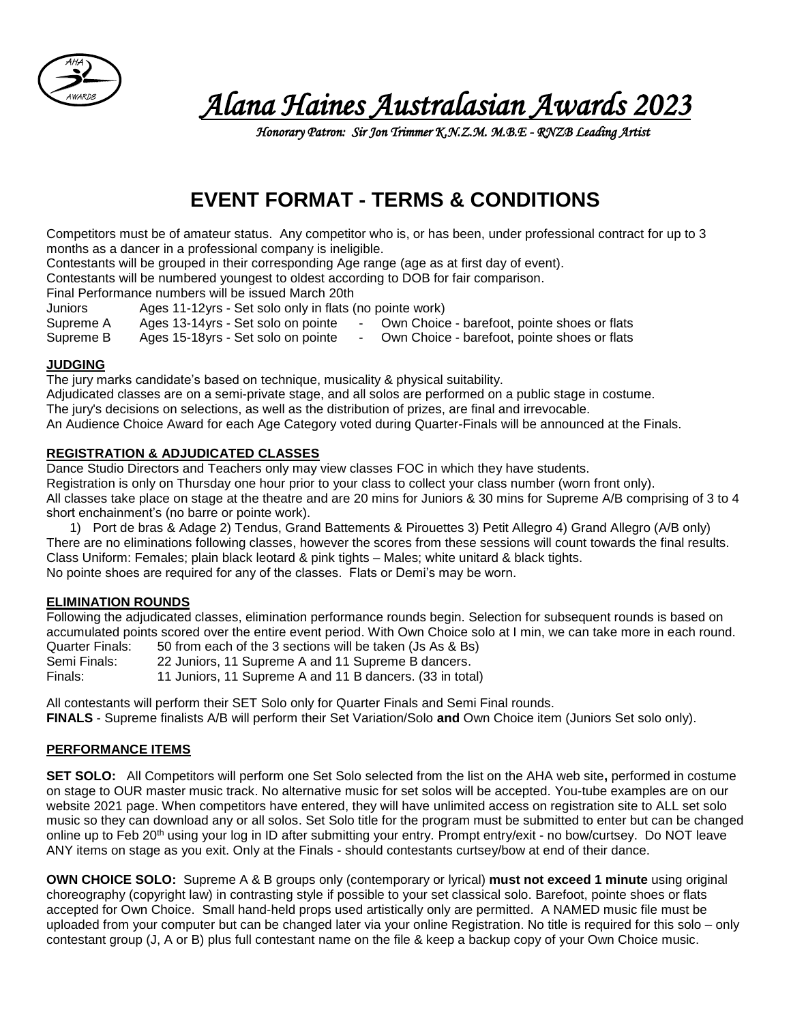

 *Alana Haines Australasian Awards 2023* 

 *Honorary Patron: Sir Jon Trimmer K.N.Z.M. M.B.E - RNZB Leading Artist* 

# **EVENT FORMAT - TERMS & CONDITIONS**

Competitors must be of amateur status. Any competitor who is, or has been, under professional contract for up to 3 months as a dancer in a professional company is ineligible.

Contestants will be grouped in their corresponding Age range (age as at first day of event).

Contestants will be numbered youngest to oldest according to DOB for fair comparison.

Final Performance numbers will be issued March 20th

Juniors Ages 11-12yrs - Set solo only in flats (no pointe work)

Supreme A Ages 13-14yrs - Set solo on pointe - Own Choice - barefoot, pointe shoes or flats

Supreme B Ages 15-18yrs - Set solo on pointe - Own Choice - barefoot, pointe shoes or flats

## **JUDGING**

The jury marks candidate's based on technique, musicality & physical suitability.

Adjudicated classes are on a semi-private stage, and all solos are performed on a public stage in costume.

The jury's decisions on selections, as well as the distribution of prizes, are final and irrevocable.

An Audience Choice Award for each Age Category voted during Quarter-Finals will be announced at the Finals.

## **REGISTRATION & ADJUDICATED CLASSES**

Dance Studio Directors and Teachers only may view classes FOC in which they have students. Registration is only on Thursday one hour prior to your class to collect your class number (worn front only). All classes take place on stage at the theatre and are 20 mins for Juniors & 30 mins for Supreme A/B comprising of 3 to 4 short enchainment's (no barre or pointe work).

1) Port de bras & Adage 2) Tendus, Grand Battements & Pirouettes 3) Petit Allegro 4) Grand Allegro (A/B only) There are no eliminations following classes, however the scores from these sessions will count towards the final results. Class Uniform: Females; plain black leotard & pink tights – Males; white unitard & black tights. No pointe shoes are required for any of the classes. Flats or Demi's may be worn.

## **ELIMINATION ROUNDS**

Following the adjudicated classes, elimination performance rounds begin. Selection for subsequent rounds is based on accumulated points scored over the entire event period. With Own Choice solo at I min, we can take more in each round. Quarter Finals: 50 from each of the 3 sections will be taken (Js As & Bs) Semi Finals: 22 Juniors, 11 Supreme A and 11 Supreme B dancers. Finals: 11 Juniors, 11 Supreme A and 11 B dancers. (33 in total)

All contestants will perform their SET Solo only for Quarter Finals and Semi Final rounds. **FINALS** - Supreme finalists A/B will perform their Set Variation/Solo **and** Own Choice item (Juniors Set solo only).

## **PERFORMANCE ITEMS**

**SET SOLO:** All Competitors will perform one Set Solo selected from the list on the AHA web site**,** performed in costume on stage to OUR master music track. No alternative music for set solos will be accepted. You-tube examples are on our website 2021 page. When competitors have entered, they will have unlimited access on registration site to ALL set solo music so they can download any or all solos. Set Solo title for the program must be submitted to enter but can be changed online up to Feb 20th using your log in ID after submitting your entry. Prompt entry/exit - no bow/curtsey. Do NOT leave ANY items on stage as you exit. Only at the Finals - should contestants curtsey/bow at end of their dance.

**OWN CHOICE SOLO:** Supreme A & B groups only (contemporary or lyrical) **must not exceed 1 minute** using original choreography (copyright law) in contrasting style if possible to your set classical solo. Barefoot, pointe shoes or flats accepted for Own Choice. Small hand-held props used artistically only are permitted. A NAMED music file must be uploaded from your computer but can be changed later via your online Registration. No title is required for this solo – only contestant group (J, A or B) plus full contestant name on the file & keep a backup copy of your Own Choice music.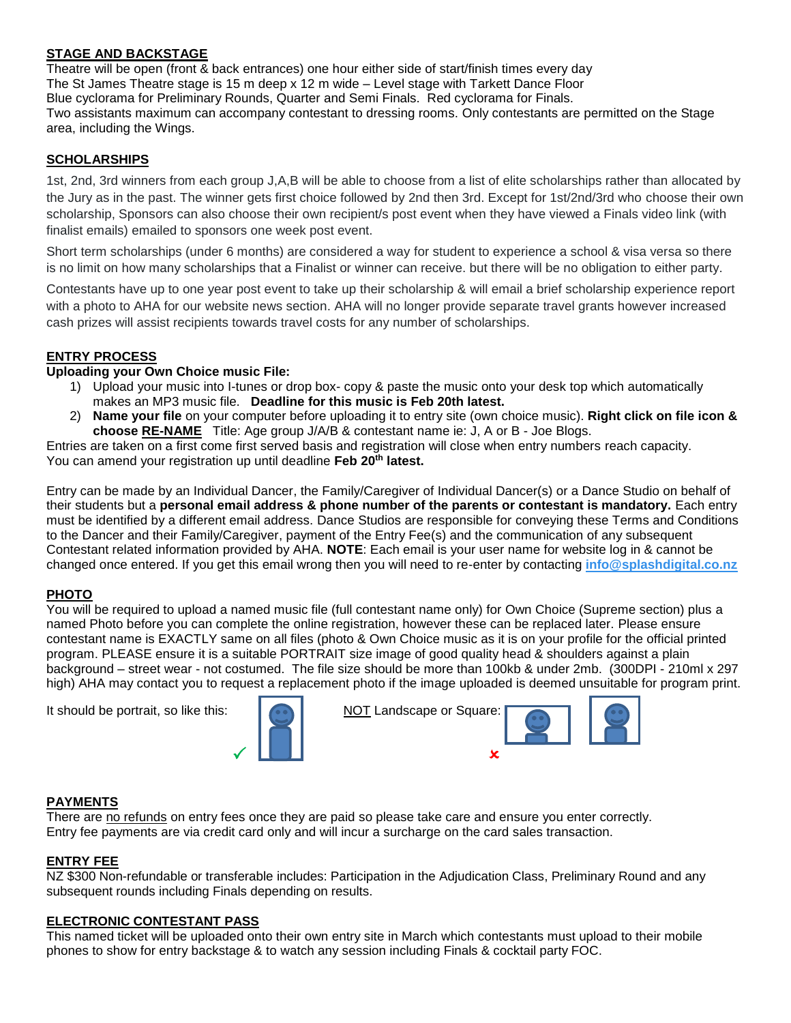# **STAGE AND BACKSTAGE**

Theatre will be open (front & back entrances) one hour either side of start/finish times every day The St James Theatre stage is 15 m deep x 12 m wide – Level stage with Tarkett Dance Floor Blue cyclorama for Preliminary Rounds, Quarter and Semi Finals. Red cyclorama for Finals. Two assistants maximum can accompany contestant to dressing rooms. Only contestants are permitted on the Stage area, including the Wings.

# **SCHOLARSHIPS**

1st, 2nd, 3rd winners from each group J,A,B will be able to choose from a list of elite scholarships rather than allocated by the Jury as in the past. The winner gets first choice followed by 2nd then 3rd. Except for 1st/2nd/3rd who choose their own scholarship, Sponsors can also choose their own recipient/s post event when they have viewed a Finals video link (with finalist emails) emailed to sponsors one week post event.

Short term scholarships (under 6 months) are considered a way for student to experience a school & visa versa so there is no limit on how many scholarships that a Finalist or winner can receive. but there will be no obligation to either party.

Contestants have up to one year post event to take up their scholarship & will email a brief scholarship experience report with a photo to AHA for our website news section. AHA will no longer provide separate travel grants however increased cash prizes will assist recipients towards travel costs for any number of scholarships.

#### **ENTRY PROCESS**

# **Uploading your Own Choice music File:**

- 1) Upload your music into I-tunes or drop box- copy & paste the music onto your desk top which automatically makes an MP3 music file. **Deadline for this music is Feb 20th latest.**
- 2) **Name your file** on your computer before uploading it to entry site (own choice music). **Right click on file icon & choose RE-NAME** Title: Age group J/A/B & contestant name ie: J, A or B - Joe Blogs.

Entries are taken on a first come first served basis and registration will close when entry numbers reach capacity. You can amend your registration up until deadline Feb 20<sup>th</sup> latest.

Entry can be made by an Individual Dancer, the Family/Caregiver of Individual Dancer(s) or a Dance Studio on behalf of their students but a **personal email address & phone number of the parents or contestant is mandatory.** Each entry must be identified by a different email address. Dance Studios are responsible for conveying these Terms and Conditions to the Dancer and their Family/Caregiver, payment of the Entry Fee(s) and the communication of any subsequent Contestant related information provided by AHA. **NOTE**: Each email is your user name for website log in & cannot be changed once entered. If you get this email wrong then you will need to re-enter by contacting **[info@splashdigital.co.nz](mailto:info@splashdigital.co.nz)**

## **PHOTO**

You will be required to upload a named music file (full contestant name only) for Own Choice (Supreme section) plus a named Photo before you can complete the online registration, however these can be replaced later. Please ensure contestant name is EXACTLY same on all files (photo & Own Choice music as it is on your profile for the official printed program. PLEASE ensure it is a suitable PORTRAIT size image of good quality head & shoulders against a plain background – street wear - not costumed. The file size should be more than 100kb & under 2mb. (300DPI - 210ml x 297 high) AHA may contact you to request a replacement photo if the image uploaded is deemed unsuitable for program print.

It should be portrait, so like this: NOT Landscape or Square:





#### **PAYMENTS**

There are no refunds on entry fees once they are paid so please take care and ensure you enter correctly. Entry fee payments are via credit card only and will incur a surcharge on the card sales transaction.

#### **ENTRY FEE**

NZ \$300 Non-refundable or transferable includes: Participation in the Adjudication Class, Preliminary Round and any subsequent rounds including Finals depending on results.

## **ELECTRONIC CONTESTANT PASS**

This named ticket will be uploaded onto their own entry site in March which contestants must upload to their mobile phones to show for entry backstage & to watch any session including Finals & cocktail party FOC.